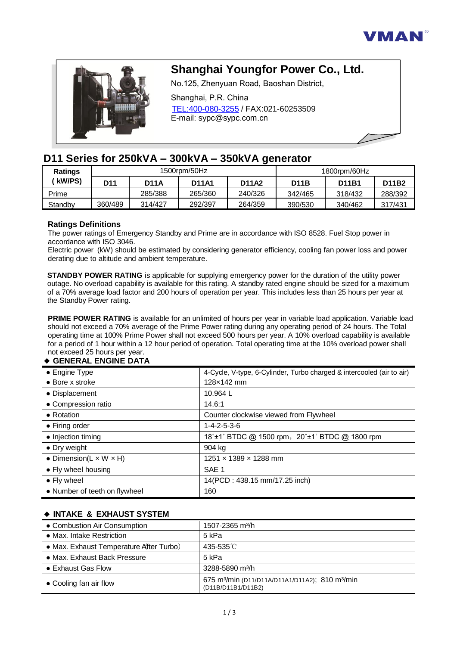



# **Shanghai Youngfor Power Co., Ltd.**

No.125, Zhenyuan Road, Baoshan District,

Shanghai, P.R. China TEL:400-080-3255 / FAX:021-60253509 E-mail: sypc@sypc.com.cn

# **D11 Series for [250kVA](https://tongkhomayphatdien.com/cong-suat-may-phat-dien/may-phat-dien-250kva/) [– 300kVA –](https://tongkhomayphatdien.com/cong-suat-may-phat-dien/may-phat-dien-300kva/) [350kVA g](https://tongkhomayphatdien.com/cong-suat-may-phat-dien/may-phat-dien-350kva/)enerator**

| <b>Ratings</b> | 1500rpm/50Hz |         |              | 1800rpm/60Hz |             |         |         |
|----------------|--------------|---------|--------------|--------------|-------------|---------|---------|
| kW/PS)         | D11          | D11A    | <b>D11A1</b> | <b>D11A2</b> | <b>D11B</b> | D11B1   | D11B2   |
| Prime          |              | 285/388 | 265/360      | 240/326      | 342/465     | 318/432 | 288/392 |
| Standby        | 360/489      | 314/427 | 292/397      | 264/359      | 390/530     | 340/462 | 317/431 |

### **Ratings Definitions**

The power ratings of Emergency Standby and Prime are in accordance with ISO 8528. Fuel Stop power in accordance with ISO 3046.

Electric power (kW) should be estimated by considering generator efficiency, cooling fan power loss and power derating due to altitude and ambient temperature.

**STANDBY POWER RATING** is applicable for supplying emergency power for the duration of the utility power outage. No overload capability is available for this rating. A standby rated engine should be sized for a maximum of a 70% average load factor and 200 hours of operation per year. This includes less than 25 hours per year at the Standby Power rating.

**PRIME POWER RATING** is available for an unlimited of hours per year in variable load application. Variable load should not exceed a 70% average of the Prime Power rating during any operating period of 24 hours. The Total operating time at 100% Prime Power shall not exceed 500 hours per year. A 10% overload capability is available for a period of 1 hour within a 12 hour period of operation. Total operating time at the 10% overload power shall not exceed 25 hours per year.

#### ◆ **GENERAL ENGINE DATA**

| • Engine Type                        | 4-Cycle, V-type, 6-Cylinder, Turbo charged & intercooled (air to air) |
|--------------------------------------|-----------------------------------------------------------------------|
| $\bullet$ Bore x stroke              | 128×142 mm                                                            |
| • Displacement                       | 10.964 L                                                              |
| • Compression ratio                  | 14.6:1                                                                |
| • Rotation                           | Counter clockwise viewed from Flywheel                                |
| • Firing order                       | $1 - 4 - 2 - 5 - 3 - 6$                                               |
| • Injection timing                   | 18°±1° BTDC @ 1500 rpm, 20°±1° BTDC @ 1800 rpm                        |
| • Dry weight                         | 904 kg                                                                |
| • Dimension( $L \times W \times H$ ) | $1251 \times 1389 \times 1288$ mm                                     |
| • Fly wheel housing                  | SAE <sub>1</sub>                                                      |
| • Fly wheel                          | 14(PCD: 438.15 mm/17.25 inch)                                         |
| • Number of teeth on flywheel        | 160                                                                   |

# ◆ **INTAKE & EXHAUST SYSTEM**

| • Combustion Air Consumption            | 1507-2365 m <sup>3</sup> /h                                                                   |
|-----------------------------------------|-----------------------------------------------------------------------------------------------|
| • Max. Intake Restriction               | 5 kPa                                                                                         |
| • Max. Exhaust Temperature After Turbo) | 435-535°C                                                                                     |
| • Max. Exhaust Back Pressure            | 5 kPa                                                                                         |
| • Exhaust Gas Flow                      | 3288-5890 m <sup>3</sup> /h                                                                   |
| • Cooling fan air flow                  | 675 m <sup>3</sup> /min (D11/D11A/D11A1/D11A2); 810 m <sup>3</sup> /min<br>(D11B/D11B1/D11B2) |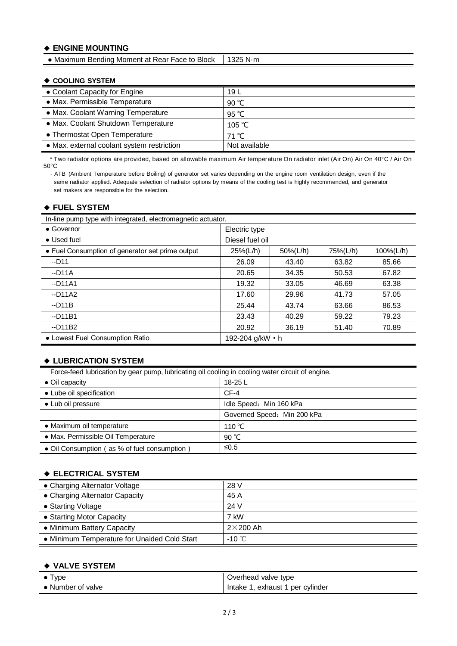# ◆ **ENGINE MOUNTING**

• Maximum Bending Moment at Rear Face to Block | 1325 N·m

#### ◆ **COOLING SYSTEM**

| • Coolant Capacity for Engine              | 19 L          |
|--------------------------------------------|---------------|
| • Max. Permissible Temperature             | 90 °C         |
| • Max. Coolant Warning Temperature         | 95 °C         |
| • Max. Coolant Shutdown Temperature        | 105 °C        |
| • Thermostat Open Temperature              | 71 °C         |
| • Max. external coolant system restriction | Not available |

\* Two radiator options are provided, based on allowable maximum Air temperature On radiator inlet (Air On) Air On 40°C / Air On 50°C

- ATB (Ambient Temperature before Boiling) of generator set varies depending on the engine room ventilation design, even if the same radiator applied. Adequate selection of radiator options by means of the cooling test is highly recommended, and generator set makers are responsible for the selection.

#### ◆ **FUEL SYSTEM**

In-line pump type with integrated, electromagnetic actuator.

| $\bullet$ Governor                               | Electric type    |          |          |           |
|--------------------------------------------------|------------------|----------|----------|-----------|
| • Used fuel                                      | Diesel fuel oil  |          |          |           |
| • Fuel Consumption of generator set prime output | 25%(L/h)         | 50%(L/h) | 75%(L/h) | 100%(L/h) |
| $-D11$                                           | 26.09            | 43.40    | 63.82    | 85.66     |
| $-D11A$                                          | 20.65            | 34.35    | 50.53    | 67.82     |
| $-D11A1$                                         | 19.32            | 33.05    | 46.69    | 63.38     |
| $-D11A2$                                         | 17.60            | 29.96    | 41.73    | 57.05     |
| $-D11B$                                          | 25.44            | 43.74    | 63.66    | 86.53     |
| $-D11B1$                                         | 23.43            | 40.29    | 59.22    | 79.23     |
| $-D11B2$                                         | 20.92            | 36.19    | 51.40    | 70.89     |
| • Lowest Fuel Consumption Ratio                  | 192-204 g/kW • h |          |          |           |

#### ◆ **LUBRICATION SYSTEM**

Force-feed lubrication by gear pump, lubricating oil cooling in cooling water circuit of engine.

| $\bullet$ Oil capacity                       | 18-25 L                     |
|----------------------------------------------|-----------------------------|
| • Lube oil specification                     | $CF-4$                      |
| • Lub oil pressure                           | Idle Speed: Min 160 kPa     |
|                                              | Governed Speed: Min 200 kPa |
| • Maximum oil temperature                    | 110 °C                      |
| • Max. Permissible Oil Temperature           | 90 $°C$                     |
| • Oil Consumption (as % of fuel consumption) | ≤ $0.5$                     |

### ◆ **ELECTRICAL SYSTEM**

| • Charging Alternator Voltage                | 28 V             |
|----------------------------------------------|------------------|
| • Charging Alternator Capacity               | 45 A             |
| • Starting Voltage                           | 24 V             |
| • Starting Motor Capacity                    | 7 kW             |
| • Minimum Battery Capacity                   | $2\times 200$ Ah |
| • Minimum Temperature for Unaided Cold Start | $-10^{\circ}$ C  |

#### ◆ **VALVE SYSTEM**

| I vpe             | valve type<br>Overhead               |
|-------------------|--------------------------------------|
| • Number of valve | cvlinder<br>exhaust<br>Intake<br>per |